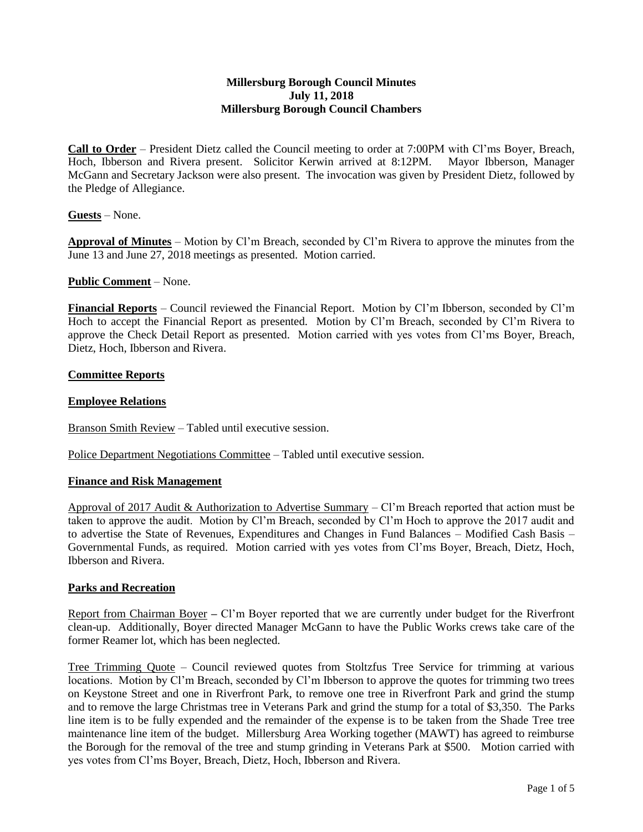## **Millersburg Borough Council Minutes July 11, 2018 Millersburg Borough Council Chambers**

**Call to Order** – President Dietz called the Council meeting to order at 7:00PM with Cl'ms Boyer, Breach, Hoch, Ibberson and Rivera present. Solicitor Kerwin arrived at 8:12PM. Mayor Ibberson, Manager McGann and Secretary Jackson were also present. The invocation was given by President Dietz, followed by the Pledge of Allegiance.

**Guests** – None.

**Approval of Minutes** – Motion by Cl'm Breach, seconded by Cl'm Rivera to approve the minutes from the June 13 and June 27, 2018 meetings as presented. Motion carried.

## **Public Comment** – None.

**Financial Reports** – Council reviewed the Financial Report. Motion by Cl'm Ibberson, seconded by Cl'm Hoch to accept the Financial Report as presented. Motion by Cl'm Breach, seconded by Cl'm Rivera to approve the Check Detail Report as presented. Motion carried with yes votes from Cl'ms Boyer, Breach, Dietz, Hoch, Ibberson and Rivera.

# **Committee Reports**

# **Employee Relations**

Branson Smith Review – Tabled until executive session.

Police Department Negotiations Committee – Tabled until executive session.

## **Finance and Risk Management**

Approval of 2017 Audit & Authorization to Advertise Summary – Cl'm Breach reported that action must be taken to approve the audit. Motion by Cl'm Breach, seconded by Cl'm Hoch to approve the 2017 audit and to advertise the State of Revenues, Expenditures and Changes in Fund Balances – Modified Cash Basis – Governmental Funds, as required. Motion carried with yes votes from Cl'ms Boyer, Breach, Dietz, Hoch, Ibberson and Rivera.

## **Parks and Recreation**

Report from Chairman Boyer **–** Cl'm Boyer reported that we are currently under budget for the Riverfront clean-up. Additionally, Boyer directed Manager McGann to have the Public Works crews take care of the former Reamer lot, which has been neglected.

Tree Trimming Quote – Council reviewed quotes from Stoltzfus Tree Service for trimming at various locations. Motion by Cl'm Breach, seconded by Cl'm Ibberson to approve the quotes for trimming two trees on Keystone Street and one in Riverfront Park, to remove one tree in Riverfront Park and grind the stump and to remove the large Christmas tree in Veterans Park and grind the stump for a total of \$3,350. The Parks line item is to be fully expended and the remainder of the expense is to be taken from the Shade Tree tree maintenance line item of the budget. Millersburg Area Working together (MAWT) has agreed to reimburse the Borough for the removal of the tree and stump grinding in Veterans Park at \$500. Motion carried with yes votes from Cl'ms Boyer, Breach, Dietz, Hoch, Ibberson and Rivera.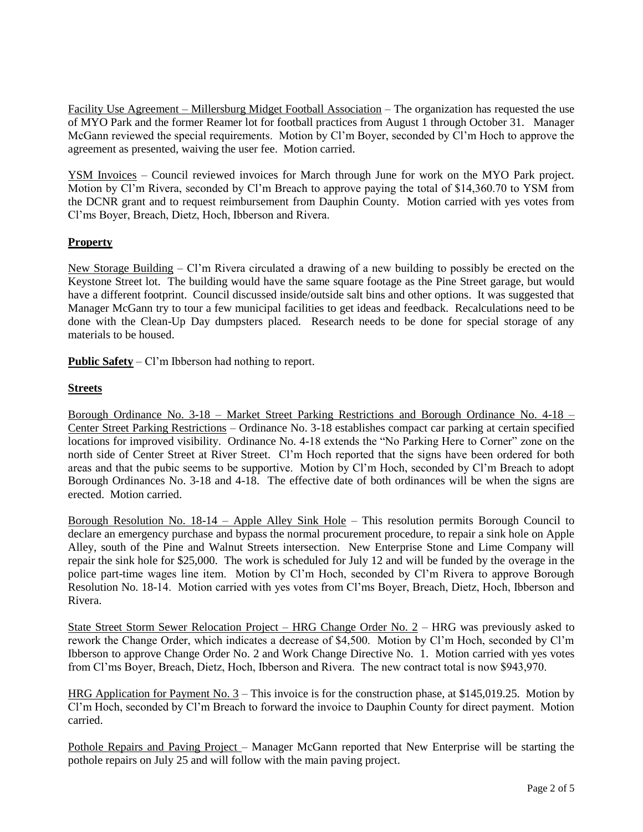Facility Use Agreement – Millersburg Midget Football Association – The organization has requested the use of MYO Park and the former Reamer lot for football practices from August 1 through October 31. Manager McGann reviewed the special requirements. Motion by Cl'm Boyer, seconded by Cl'm Hoch to approve the agreement as presented, waiving the user fee. Motion carried.

YSM Invoices – Council reviewed invoices for March through June for work on the MYO Park project. Motion by Cl'm Rivera, seconded by Cl'm Breach to approve paying the total of \$14,360.70 to YSM from the DCNR grant and to request reimbursement from Dauphin County. Motion carried with yes votes from Cl'ms Boyer, Breach, Dietz, Hoch, Ibberson and Rivera.

# **Property**

New Storage Building – Cl'm Rivera circulated a drawing of a new building to possibly be erected on the Keystone Street lot. The building would have the same square footage as the Pine Street garage, but would have a different footprint. Council discussed inside/outside salt bins and other options. It was suggested that Manager McGann try to tour a few municipal facilities to get ideas and feedback. Recalculations need to be done with the Clean-Up Day dumpsters placed. Research needs to be done for special storage of any materials to be housed.

**Public Safety** – Cl'm Ibberson had nothing to report.

# **Streets**

Borough Ordinance No. 3-18 – Market Street Parking Restrictions and Borough Ordinance No. 4-18 – Center Street Parking Restrictions – Ordinance No. 3-18 establishes compact car parking at certain specified locations for improved visibility. Ordinance No. 4-18 extends the "No Parking Here to Corner" zone on the north side of Center Street at River Street. Cl'm Hoch reported that the signs have been ordered for both areas and that the pubic seems to be supportive. Motion by Cl'm Hoch, seconded by Cl'm Breach to adopt Borough Ordinances No. 3-18 and 4-18. The effective date of both ordinances will be when the signs are erected. Motion carried.

Borough Resolution No. 18-14 – Apple Alley Sink Hole – This resolution permits Borough Council to declare an emergency purchase and bypass the normal procurement procedure, to repair a sink hole on Apple Alley, south of the Pine and Walnut Streets intersection. New Enterprise Stone and Lime Company will repair the sink hole for \$25,000. The work is scheduled for July 12 and will be funded by the overage in the police part-time wages line item. Motion by Cl'm Hoch, seconded by Cl'm Rivera to approve Borough Resolution No. 18-14. Motion carried with yes votes from Cl'ms Boyer, Breach, Dietz, Hoch, Ibberson and Rivera.

State Street Storm Sewer Relocation Project – HRG Change Order No. 2 – HRG was previously asked to rework the Change Order, which indicates a decrease of \$4,500. Motion by Cl'm Hoch, seconded by Cl'm Ibberson to approve Change Order No. 2 and Work Change Directive No. 1. Motion carried with yes votes from Cl'ms Boyer, Breach, Dietz, Hoch, Ibberson and Rivera. The new contract total is now \$943,970.

HRG Application for Payment No. 3 – This invoice is for the construction phase, at \$145,019.25. Motion by Cl'm Hoch, seconded by Cl'm Breach to forward the invoice to Dauphin County for direct payment. Motion carried.

Pothole Repairs and Paving Project – Manager McGann reported that New Enterprise will be starting the pothole repairs on July 25 and will follow with the main paving project.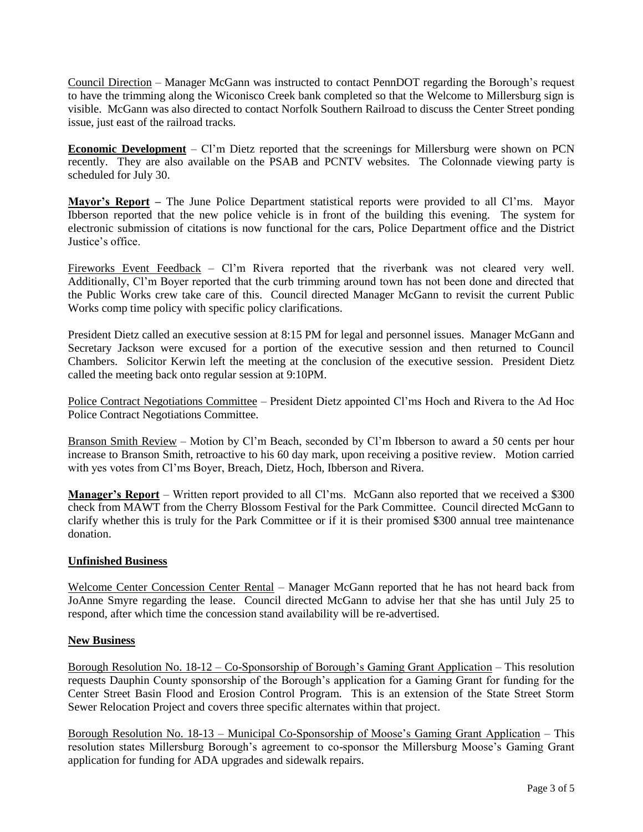Council Direction – Manager McGann was instructed to contact PennDOT regarding the Borough's request to have the trimming along the Wiconisco Creek bank completed so that the Welcome to Millersburg sign is visible. McGann was also directed to contact Norfolk Southern Railroad to discuss the Center Street ponding issue, just east of the railroad tracks.

**Economic Development** – Cl'm Dietz reported that the screenings for Millersburg were shown on PCN recently. They are also available on the PSAB and PCNTV websites. The Colonnade viewing party is scheduled for July 30.

**Mayor's Report –** The June Police Department statistical reports were provided to all Cl'ms. Mayor Ibberson reported that the new police vehicle is in front of the building this evening. The system for electronic submission of citations is now functional for the cars, Police Department office and the District Justice's office.

Fireworks Event Feedback – Cl'm Rivera reported that the riverbank was not cleared very well. Additionally, Cl'm Boyer reported that the curb trimming around town has not been done and directed that the Public Works crew take care of this. Council directed Manager McGann to revisit the current Public Works comp time policy with specific policy clarifications.

President Dietz called an executive session at 8:15 PM for legal and personnel issues. Manager McGann and Secretary Jackson were excused for a portion of the executive session and then returned to Council Chambers. Solicitor Kerwin left the meeting at the conclusion of the executive session. President Dietz called the meeting back onto regular session at 9:10PM.

Police Contract Negotiations Committee – President Dietz appointed Cl'ms Hoch and Rivera to the Ad Hoc Police Contract Negotiations Committee.

Branson Smith Review – Motion by Cl'm Beach, seconded by Cl'm Ibberson to award a 50 cents per hour increase to Branson Smith, retroactive to his 60 day mark, upon receiving a positive review. Motion carried with yes votes from Cl'ms Boyer, Breach, Dietz, Hoch, Ibberson and Rivera.

**Manager's Report** – Written report provided to all Cl'ms. McGann also reported that we received a \$300 check from MAWT from the Cherry Blossom Festival for the Park Committee. Council directed McGann to clarify whether this is truly for the Park Committee or if it is their promised \$300 annual tree maintenance donation.

## **Unfinished Business**

Welcome Center Concession Center Rental – Manager McGann reported that he has not heard back from JoAnne Smyre regarding the lease. Council directed McGann to advise her that she has until July 25 to respond, after which time the concession stand availability will be re-advertised.

#### **New Business**

Borough Resolution No. 18-12 – Co-Sponsorship of Borough's Gaming Grant Application – This resolution requests Dauphin County sponsorship of the Borough's application for a Gaming Grant for funding for the Center Street Basin Flood and Erosion Control Program. This is an extension of the State Street Storm Sewer Relocation Project and covers three specific alternates within that project.

Borough Resolution No. 18-13 – Municipal Co-Sponsorship of Moose's Gaming Grant Application – This resolution states Millersburg Borough's agreement to co-sponsor the Millersburg Moose's Gaming Grant application for funding for ADA upgrades and sidewalk repairs.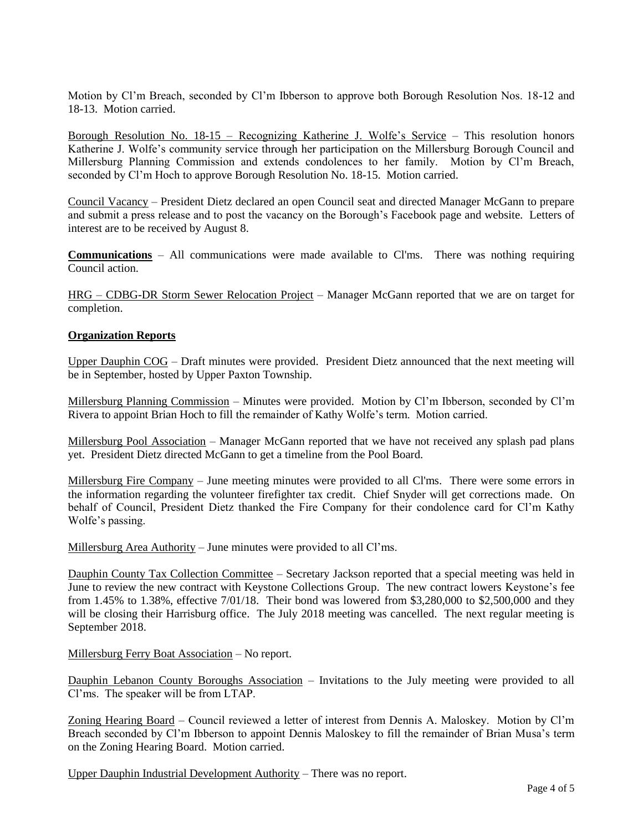Motion by Cl'm Breach, seconded by Cl'm Ibberson to approve both Borough Resolution Nos. 18-12 and 18-13. Motion carried.

Borough Resolution No. 18-15 – Recognizing Katherine J. Wolfe's Service – This resolution honors Katherine J. Wolfe's community service through her participation on the Millersburg Borough Council and Millersburg Planning Commission and extends condolences to her family. Motion by Cl'm Breach, seconded by Cl'm Hoch to approve Borough Resolution No. 18-15. Motion carried.

Council Vacancy – President Dietz declared an open Council seat and directed Manager McGann to prepare and submit a press release and to post the vacancy on the Borough's Facebook page and website. Letters of interest are to be received by August 8.

**Communications** – All communications were made available to Cl'ms. There was nothing requiring Council action.

HRG – CDBG-DR Storm Sewer Relocation Project – Manager McGann reported that we are on target for completion.

### **Organization Reports**

Upper Dauphin COG – Draft minutes were provided. President Dietz announced that the next meeting will be in September, hosted by Upper Paxton Township.

Millersburg Planning Commission – Minutes were provided. Motion by Cl'm Ibberson, seconded by Cl'm Rivera to appoint Brian Hoch to fill the remainder of Kathy Wolfe's term. Motion carried.

Millersburg Pool Association – Manager McGann reported that we have not received any splash pad plans yet. President Dietz directed McGann to get a timeline from the Pool Board.

Millersburg Fire Company – June meeting minutes were provided to all Cl'ms. There were some errors in the information regarding the volunteer firefighter tax credit. Chief Snyder will get corrections made. On behalf of Council, President Dietz thanked the Fire Company for their condolence card for Cl'm Kathy Wolfe's passing.

Millersburg Area Authority – June minutes were provided to all Cl'ms.

Dauphin County Tax Collection Committee – Secretary Jackson reported that a special meeting was held in June to review the new contract with Keystone Collections Group. The new contract lowers Keystone's fee from 1.45% to 1.38%, effective 7/01/18. Their bond was lowered from \$3,280,000 to \$2,500,000 and they will be closing their Harrisburg office. The July 2018 meeting was cancelled. The next regular meeting is September 2018.

Millersburg Ferry Boat Association – No report.

Dauphin Lebanon County Boroughs Association – Invitations to the July meeting were provided to all Cl'ms. The speaker will be from LTAP.

Zoning Hearing Board – Council reviewed a letter of interest from Dennis A. Maloskey. Motion by Cl'm Breach seconded by Cl'm Ibberson to appoint Dennis Maloskey to fill the remainder of Brian Musa's term on the Zoning Hearing Board. Motion carried.

Upper Dauphin Industrial Development Authority – There was no report.